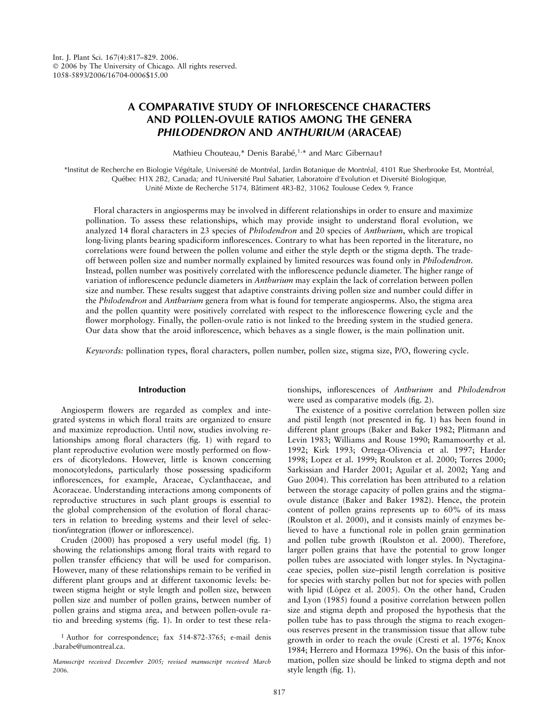# A COMPARATIVE STUDY OF INFLORESCENCE CHARACTERS AND POLLEN-OVULE RATIOS AMONG THE GENERA PHILODENDRON AND ANTHURIUM (ARACEAE)

Mathieu Chouteau,\* Denis Barabé,<sup>1,\*</sup> and Marc Gibernau†

\*Institut de Recherche en Biologie Végétale, Université de Montréal, Jardin Botanique de Montréal, 4101 Rue Sherbrooke Est, Montréal, Québec H1X 2B2, Canada; and †Université Paul Sabatier, Laboratoire d'Evolution et Diversité Biologique, Unité Mixte de Recherche 5174, Bâtiment 4R3-B2, 31062 Toulouse Cedex 9, France

Floral characters in angiosperms may be involved in different relationships in order to ensure and maximize pollination. To assess these relationships, which may provide insight to understand floral evolution, we analyzed 14 floral characters in 23 species of *Philodendron* and 20 species of *Anthurium*, which are tropical long-living plants bearing spadiciform inflorescences. Contrary to what has been reported in the literature, no correlations were found between the pollen volume and either the style depth or the stigma depth. The tradeoff between pollen size and number normally explained by limited resources was found only in Philodendron. Instead, pollen number was positively correlated with the inflorescence peduncle diameter. The higher range of variation of inflorescence peduncle diameters in Anthurium may explain the lack of correlation between pollen size and number. These results suggest that adaptive constraints driving pollen size and number could differ in the Philodendron and Anthurium genera from what is found for temperate angiosperms. Also, the stigma area and the pollen quantity were positively correlated with respect to the inflorescence flowering cycle and the flower morphology. Finally, the pollen-ovule ratio is not linked to the breeding system in the studied genera. Our data show that the aroid inflorescence, which behaves as a single flower, is the main pollination unit.

Keywords: pollination types, floral characters, pollen number, pollen size, stigma size, P/O, flowering cycle.

## Introduction

Angiosperm flowers are regarded as complex and integrated systems in which floral traits are organized to ensure and maximize reproduction. Until now, studies involving relationships among floral characters (fig. 1) with regard to plant reproductive evolution were mostly performed on flowers of dicotyledons. However, little is known concerning monocotyledons, particularly those possessing spadiciform inflorescences, for example, Araceae, Cyclanthaceae, and Acoraceae. Understanding interactions among components of reproductive structures in such plant groups is essential to the global comprehension of the evolution of floral characters in relation to breeding systems and their level of selection/integration (flower or inflorescence).

Cruden (2000) has proposed a very useful model (fig. 1) showing the relationships among floral traits with regard to pollen transfer efficiency that will be used for comparison. However, many of these relationships remain to be verified in different plant groups and at different taxonomic levels: between stigma height or style length and pollen size, between pollen size and number of pollen grains, between number of pollen grains and stigma area, and between pollen-ovule ratio and breeding systems (fig. 1). In order to test these rela-

<sup>1</sup> Author for correspondence; fax 514-872-3765; e-mail denis .barabe@umontreal.ca.

Manuscript received December 2005; revised manuscript received March 2006.

tionships, inflorescences of Anthurium and Philodendron were used as comparative models (fig. 2).

The existence of a positive correlation between pollen size and pistil length (not presented in fig. 1) has been found in different plant groups (Baker and Baker 1982; Plitmann and Levin 1983; Williams and Rouse 1990; Ramamoorthy et al. 1992; Kirk 1993; Ortega-Olivencia et al. 1997; Harder 1998; Lopez et al. 1999; Roulston et al. 2000; Torres 2000; Sarkissian and Harder 2001; Aguilar et al. 2002; Yang and Guo 2004). This correlation has been attributed to a relation between the storage capacity of pollen grains and the stigmaovule distance (Baker and Baker 1982). Hence, the protein content of pollen grains represents up to 60% of its mass (Roulston et al. 2000), and it consists mainly of enzymes believed to have a functional role in pollen grain germination and pollen tube growth (Roulston et al. 2000). Therefore, larger pollen grains that have the potential to grow longer pollen tubes are associated with longer styles. In Nyctaginaceae species, pollen size–pistil length correlation is positive for species with starchy pollen but not for species with pollen with lipid (López et al. 2005). On the other hand, Cruden and Lyon (1985) found a positive correlation between pollen size and stigma depth and proposed the hypothesis that the pollen tube has to pass through the stigma to reach exogenous reserves present in the transmission tissue that allow tube growth in order to reach the ovule (Cresti et al. 1976; Knox 1984; Herrero and Hormaza 1996). On the basis of this information, pollen size should be linked to stigma depth and not style length (fig. 1).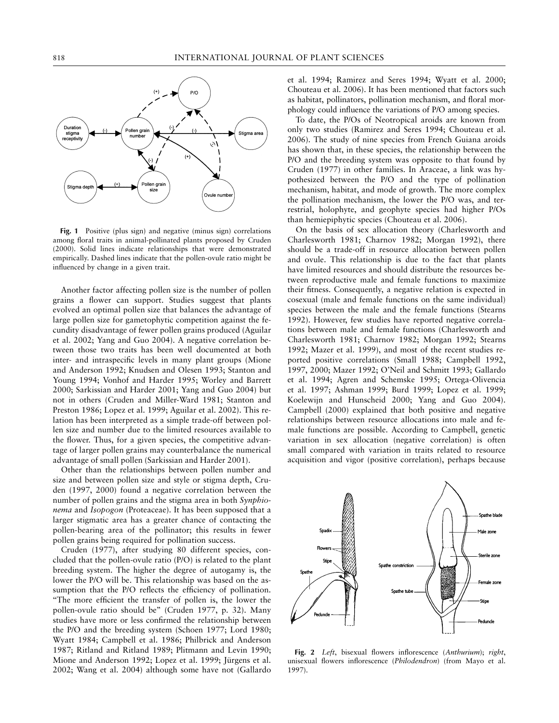

Fig. 1 Positive (plus sign) and negative (minus sign) correlations among floral traits in animal-pollinated plants proposed by Cruden (2000). Solid lines indicate relationships that were demonstrated empirically. Dashed lines indicate that the pollen-ovule ratio might be influenced by change in a given trait.

Another factor affecting pollen size is the number of pollen grains a flower can support. Studies suggest that plants evolved an optimal pollen size that balances the advantage of large pollen size for gametophytic competition against the fecundity disadvantage of fewer pollen grains produced (Aguilar et al. 2002; Yang and Guo 2004). A negative correlation between those two traits has been well documented at both inter- and intraspecific levels in many plant groups (Mione and Anderson 1992; Knudsen and Olesen 1993; Stanton and Young 1994; Vonhof and Harder 1995; Worley and Barrett 2000; Sarkissian and Harder 2001; Yang and Guo 2004) but not in others (Cruden and Miller-Ward 1981; Stanton and Preston 1986; Lopez et al. 1999; Aguilar et al. 2002). This relation has been interpreted as a simple trade-off between pollen size and number due to the limited resources available to the flower. Thus, for a given species, the competitive advantage of larger pollen grains may counterbalance the numerical advantage of small pollen (Sarkissian and Harder 2001).

Other than the relationships between pollen number and size and between pollen size and style or stigma depth, Cruden (1997, 2000) found a negative correlation between the number of pollen grains and the stigma area in both Synphionema and Isopogon (Proteaceae). It has been supposed that a larger stigmatic area has a greater chance of contacting the pollen-bearing area of the pollinator; this results in fewer pollen grains being required for pollination success.

Cruden (1977), after studying 80 different species, concluded that the pollen-ovule ratio (P/O) is related to the plant breeding system. The higher the degree of autogamy is, the lower the P/O will be. This relationship was based on the assumption that the P/O reflects the efficiency of pollination. ''The more efficient the transfer of pollen is, the lower the pollen-ovule ratio should be'' (Cruden 1977, p. 32). Many studies have more or less confirmed the relationship between the P/O and the breeding system (Schoen 1977; Lord 1980; Wyatt 1984; Campbell et al. 1986; Philbrick and Anderson 1987; Ritland and Ritland 1989; Plitmann and Levin 1990; Mione and Anderson 1992; Lopez et al. 1999; Jürgens et al. 2002; Wang et al. 2004) although some have not (Gallardo et al. 1994; Ramirez and Seres 1994; Wyatt et al. 2000; Chouteau et al. 2006). It has been mentioned that factors such as habitat, pollinators, pollination mechanism, and floral morphology could influence the variations of P/O among species.

To date, the P/Os of Neotropical aroids are known from only two studies (Ramirez and Seres 1994; Chouteau et al. 2006). The study of nine species from French Guiana aroids has shown that, in these species, the relationship between the P/O and the breeding system was opposite to that found by Cruden (1977) in other families. In Araceae, a link was hypothesized between the P/O and the type of pollination mechanism, habitat, and mode of growth. The more complex the pollination mechanism, the lower the P/O was, and terrestrial, holophyte, and geophyte species had higher P/Os than hemiepiphytic species (Chouteau et al. 2006).

On the basis of sex allocation theory (Charlesworth and Charlesworth 1981; Charnov 1982; Morgan 1992), there should be a trade-off in resource allocation between pollen and ovule. This relationship is due to the fact that plants have limited resources and should distribute the resources between reproductive male and female functions to maximize their fitness. Consequently, a negative relation is expected in cosexual (male and female functions on the same individual) species between the male and the female functions (Stearns 1992). However, few studies have reported negative correlations between male and female functions (Charlesworth and Charlesworth 1981; Charnov 1982; Morgan 1992; Stearns 1992; Mazer et al. 1999), and most of the recent studies reported positive correlations (Small 1988; Campbell 1992, 1997, 2000; Mazer 1992; O'Neil and Schmitt 1993; Gallardo et al. 1994; Agren and Schemske 1995; Ortega-Olivencia et al. 1997; Ashman 1999; Burd 1999; Lopez et al. 1999; Koelewijn and Hunscheid 2000; Yang and Guo 2004). Campbell (2000) explained that both positive and negative relationships between resource allocations into male and female functions are possible. According to Campbell, genetic variation in sex allocation (negative correlation) is often small compared with variation in traits related to resource acquisition and vigor (positive correlation), perhaps because



Fig. 2 Left, bisexual flowers inflorescence (Anthurium); right, unisexual flowers inflorescence (Philodendron) (from Mayo et al. 1997).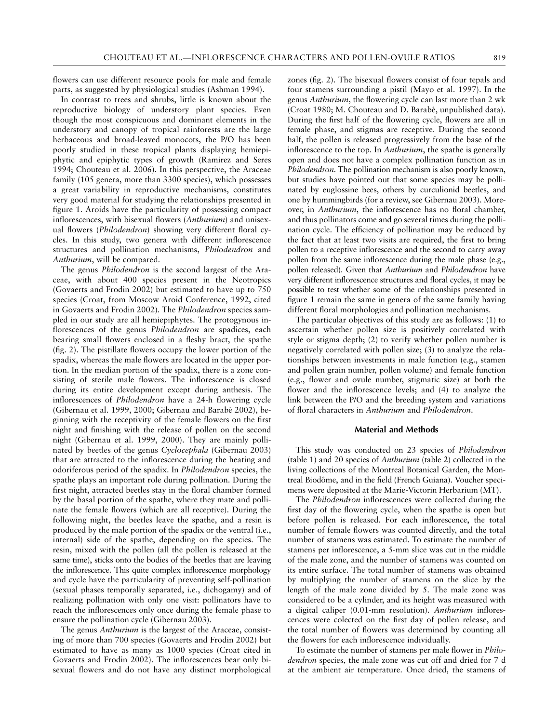flowers can use different resource pools for male and female parts, as suggested by physiological studies (Ashman 1994).

In contrast to trees and shrubs, little is known about the reproductive biology of understory plant species. Even though the most conspicuous and dominant elements in the understory and canopy of tropical rainforests are the large herbaceous and broad-leaved monocots, the P/O has been poorly studied in these tropical plants displaying hemiepiphytic and epiphytic types of growth (Ramirez and Seres 1994; Chouteau et al. 2006). In this perspective, the Araceae family (105 genera, more than 3300 species), which possesses a great variability in reproductive mechanisms, constitutes very good material for studying the relationships presented in figure 1. Aroids have the particularity of possessing compact inflorescences, with bisexual flowers (Anthurium) and unisexual flowers (Philodendron) showing very different floral cycles. In this study, two genera with different inflorescence structures and pollination mechanisms, Philodendron and Anthurium, will be compared.

The genus Philodendron is the second largest of the Araceae, with about 400 species present in the Neotropics (Govaerts and Frodin 2002) but estimated to have up to 750 species (Croat, from Moscow Aroid Conference, 1992, cited in Govaerts and Frodin 2002). The Philodendron species sampled in our study are all hemiepiphytes. The protogynous inflorescences of the genus Philodendron are spadices, each bearing small flowers enclosed in a fleshy bract, the spathe (fig. 2). The pistillate flowers occupy the lower portion of the spadix, whereas the male flowers are located in the upper portion. In the median portion of the spadix, there is a zone consisting of sterile male flowers. The inflorescence is closed during its entire development except during anthesis. The inflorescences of Philodendron have a 24-h flowering cycle (Gibernau et al. 1999, 2000; Gibernau and Barabé 2002), beginning with the receptivity of the female flowers on the first night and finishing with the release of pollen on the second night (Gibernau et al. 1999, 2000). They are mainly pollinated by beetles of the genus Cyclocephala (Gibernau 2003) that are attracted to the inflorescence during the heating and odoriferous period of the spadix. In Philodendron species, the spathe plays an important role during pollination. During the first night, attracted beetles stay in the floral chamber formed by the basal portion of the spathe, where they mate and pollinate the female flowers (which are all receptive). During the following night, the beetles leave the spathe, and a resin is produced by the male portion of the spadix or the ventral (i.e., internal) side of the spathe, depending on the species. The resin, mixed with the pollen (all the pollen is released at the same time), sticks onto the bodies of the beetles that are leaving the inflorescence. This quite complex inflorescence morphology and cycle have the particularity of preventing self-pollination (sexual phases temporally separated, i.e., dichogamy) and of realizing pollination with only one visit: pollinators have to reach the inflorescences only once during the female phase to ensure the pollination cycle (Gibernau 2003).

The genus Anthurium is the largest of the Araceae, consisting of more than 700 species (Govaerts and Frodin 2002) but estimated to have as many as 1000 species (Croat cited in Govaerts and Frodin 2002). The inflorescences bear only bisexual flowers and do not have any distinct morphological zones (fig. 2). The bisexual flowers consist of four tepals and four stamens surrounding a pistil (Mayo et al. 1997). In the genus Anthurium, the flowering cycle can last more than 2 wk (Croat 1980; M. Chouteau and D. Barabé, unpublished data). During the first half of the flowering cycle, flowers are all in female phase, and stigmas are receptive. During the second half, the pollen is released progressively from the base of the inflorescence to the top. In *Anthurium*, the spathe is generally open and does not have a complex pollination function as in Philodendron. The pollination mechanism is also poorly known, but studies have pointed out that some species may be pollinated by euglossine bees, others by curculionid beetles, and one by hummingbirds (for a review, see Gibernau 2003). Moreover, in Anthurium, the inflorescence has no floral chamber, and thus pollinators come and go several times during the pollination cycle. The efficiency of pollination may be reduced by the fact that at least two visits are required, the first to bring pollen to a receptive inflorescence and the second to carry away pollen from the same inflorescence during the male phase (e.g., pollen released). Given that Anthurium and Philodendron have very different inflorescence structures and floral cycles, it may be possible to test whether some of the relationships presented in figure 1 remain the same in genera of the same family having different floral morphologies and pollination mechanisms.

The particular objectives of this study are as follows: (1) to ascertain whether pollen size is positively correlated with style or stigma depth; (2) to verify whether pollen number is negatively correlated with pollen size; (3) to analyze the relationships between investments in male function (e.g., stamen and pollen grain number, pollen volume) and female function (e.g., flower and ovule number, stigmatic size) at both the flower and the inflorescence levels; and (4) to analyze the link between the P/O and the breeding system and variations of floral characters in Anthurium and Philodendron.

### Material and Methods

This study was conducted on 23 species of Philodendron (table 1) and 20 species of Anthurium (table 2) collected in the living collections of the Montreal Botanical Garden, the Montreal Biodôme, and in the field (French Guiana). Voucher specimens were deposited at the Marie-Victorin Herbarium (MT).

The Philodendron inflorescences were collected during the first day of the flowering cycle, when the spathe is open but before pollen is released. For each inflorescence, the total number of female flowers was counted directly, and the total number of stamens was estimated. To estimate the number of stamens per inflorescence, a 5-mm slice was cut in the middle of the male zone, and the number of stamens was counted on its entire surface. The total number of stamens was obtained by multiplying the number of stamens on the slice by the length of the male zone divided by 5. The male zone was considered to be a cylinder, and its height was measured with a digital caliper (0.01-mm resolution). Anthurium inflorescences were colected on the first day of pollen release, and the total number of flowers was determined by counting all the flowers for each inflorescence individually.

To estimate the number of stamens per male flower in Philodendron species, the male zone was cut off and dried for 7 d at the ambient air temperature. Once dried, the stamens of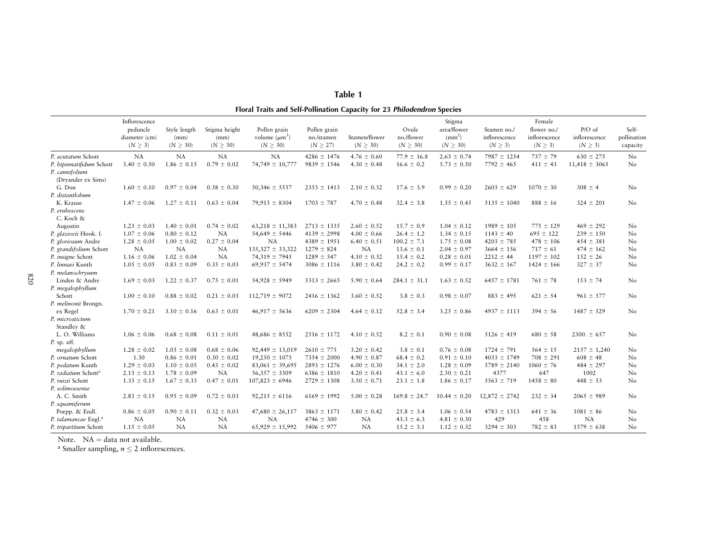|                                  | Inflorescence<br>peduncle<br>diameter (cm)<br>$(N \geq 3)$ | Style length<br>(mm)<br>$(N \geq 30)$ | Stigma height<br>(mm)<br>$(N \geq 30)$ | Pollen grain<br>volume $(\mu m^3)$<br>(N > 30) | Pollen grain<br>no./stamen<br>$(N \ge 27)$ | Stamen/flower<br>$(N \geq 30)$ | Ovule<br>no./flower<br>$(N \geq 30)$ | Stigma<br>area/flower<br>$\rm (mm^2)$<br>$(N \geq 30)$ | Stamen no./<br>inflorescence<br>$(N \geq 3)$ | Female<br>flower no./<br>inflorescence<br>$(N \geq 3)$ | $P/O$ of<br>inflorescence<br>$(N \geq 3)$ | Self-<br>pollination<br>capacity |
|----------------------------------|------------------------------------------------------------|---------------------------------------|----------------------------------------|------------------------------------------------|--------------------------------------------|--------------------------------|--------------------------------------|--------------------------------------------------------|----------------------------------------------|--------------------------------------------------------|-------------------------------------------|----------------------------------|
| P. acutatum Schott               | NA                                                         | <b>NA</b>                             | NA                                     | NA                                             | $4286 \pm 1476$                            | $4.76 \pm 0.60$                | $77.9 \pm 16.8$                      | $2.63 \pm 0.74$                                        | $7987 \pm 1254$                              | $737 \pm 79$                                           | $630 \pm 275$                             | No                               |
| P. bipinnatifidum Schott         | $3.40 \pm 0.50$                                            | $1.86 \pm 0.15$                       | $0.79 \pm 0.02$                        | 74,749 ± 10,777                                | $9839 \pm 1546$                            | $4.30 \pm 0.48$                | $16.6 \pm 0.2$                       | $5.73 \pm 0.50$                                        | $7792 \pm 465$                               | $411 \pm 43$                                           | $11,418 \pm 3065$                         | No                               |
| P. cannifolium                   |                                                            |                                       |                                        |                                                |                                            |                                |                                      |                                                        |                                              |                                                        |                                           |                                  |
| (Dryander ex Sims)               |                                                            |                                       |                                        |                                                |                                            |                                |                                      |                                                        |                                              |                                                        |                                           |                                  |
| G. Don                           | $1.60 \pm 0.10$                                            | $0.97 \pm 0.04$                       | $0.38 \pm 0.30$                        | $50,346 \pm 5557$                              | $2353 \pm 1413$                            | $2.10 \pm 0.32$                | $17.6 \pm 3.9$                       | $0.99 \pm 0.20$                                        | $2603 \pm 629$                               | $1070 \pm 30$                                          | $308 \pm 4$                               | N <sub>0</sub>                   |
| P. distantlobum                  |                                                            |                                       |                                        |                                                |                                            |                                |                                      |                                                        |                                              |                                                        |                                           |                                  |
| K. Krause                        | $1.47 \pm 0.06$                                            | $1.27 \pm 0.11$                       | $0.63 \pm 0.04$                        | $79,915 \pm 8304$                              | $1703 \pm 787$                             | $4.70 \pm 0.48$                | $32.4 \pm 3.8$                       | $1.55 \pm 0.45$                                        | $5135 \pm 1040$                              | $888 \pm 16$                                           | $324 \pm 201$                             | No                               |
| P. erubescens                    |                                                            |                                       |                                        |                                                |                                            |                                |                                      |                                                        |                                              |                                                        |                                           |                                  |
| C. Koch &                        |                                                            |                                       |                                        |                                                |                                            |                                |                                      |                                                        |                                              |                                                        |                                           |                                  |
| Augustin                         | $1.23 \pm 0.03$                                            | $1.40 \pm 0.01$                       | $0.74 \pm 0.02$                        | $63,218 \pm 11,383$                            | $2713 \pm 1335$                            | $2.60 \pm 0.52$                | $15.7 \pm 0.9$                       | $1.04 \pm 0.12$                                        | $1989 \pm 105$                               | $775 \pm 129$                                          | $469 \pm 292$                             | No                               |
| P. glaziovii Hook. f.            | $1.07 \pm 0.06$                                            | $0.80 \pm 0.12$                       | NA                                     | $54,649 \pm 5446$                              | $4139 \pm 2998$                            | $4.00 \pm 0.66$                | $26.4 \pm 1.2$                       | $1.34 \pm 0.15$                                        | $1143 \pm 40$                                | $695 \pm 122$                                          | $239 \pm 150$                             | No                               |
| P. gloriosum Andre               | $1.28 \pm 0.05$                                            | $1.00 \pm 0.02$                       | $0.27 \pm 0.04$                        | NA                                             | $4389 \pm 1951$                            | $6.40 \pm 0.51$                | $100.2 \pm 7.1$                      | $1.75 \pm 0.08$                                        | $4203 \pm 785$                               | $478 \pm 106$                                          | $454 \pm 381$                             | No                               |
| P. grandifolium Schott           | NA                                                         | NA                                    | NA                                     | $135.327 \pm 33.322$                           | $1279 \pm 824$                             | NA                             | $13.6 \pm 0.1$                       | $2.04 \pm 0.97$                                        | $3664 \pm 156$                               | $717 \pm 61$                                           | $474 \pm 162$                             | No                               |
| P. insigne Schott                | $1.16 \pm 0.06$                                            | $1.02 \pm 0.04$                       | NA                                     | $74,319 \pm 7945$                              | $1289 \pm 547$                             | $4.10 \pm 0.32$                | $15.4 \pm 0.2$                       | $0.28 \pm 0.01$                                        | $2212 \pm 44$                                | $1197 \pm 102$                                         | $152 \pm 26$                              | N <sub>o</sub>                   |
| P. linnaei Kunth                 | $1.05 \pm 0.05$                                            | $0.83 \pm 0.09$                       | $0.35 \pm 0.03$                        | $69,937 \pm 5474$                              | $3086 \pm 1116$                            | $3.80 \pm 0.42$                | $24.2 \pm 0.2$                       | $0.99 \pm 0.17$                                        | $3632 \pm 167$                               | $1424 \pm 166$                                         | $327 \pm 37$                              | No                               |
| P. melanochrysum                 |                                                            |                                       |                                        |                                                |                                            |                                |                                      |                                                        |                                              |                                                        |                                           |                                  |
| Linden & Andre                   | $1.69 \pm 0.03$                                            | $1.22 \pm 0.37$                       | $0.75 \pm 0.01$                        | $54,928 \pm 5949$                              | $5313 \pm 2665$                            | $5.90 \pm 0.64$                | $284.1 \pm 31.1$                     | $1.63 \pm 0.52$                                        | $6457 \pm 1781$                              | $761 \pm 78$                                           | $153 \pm 74$                              | No                               |
| P. megalophyllum                 |                                                            |                                       |                                        |                                                |                                            |                                |                                      |                                                        |                                              |                                                        |                                           |                                  |
| Schott                           | $1.00 \pm 0.10$                                            | $0.88 \pm 0.02$                       | $0.21 \pm 0.03$                        | $112,719 \pm 9072$                             | $2416 \pm 1362$                            | $3.60 \pm 0.52$                | $3.8 \pm 0.3$                        | $0.98 \pm 0.07$                                        | $883 \pm 495$                                | $621 \pm 54$                                           | $961 \pm 577$                             | No                               |
| P. melinonii Brongn.             |                                                            |                                       |                                        |                                                |                                            |                                |                                      |                                                        |                                              |                                                        |                                           |                                  |
| ex Regel                         | $1.70 \pm 0.21$                                            | $3.10 \pm 0.16$                       | $0.63 \pm 0.01$                        | $46,917 \pm 5636$                              | $6209 \pm 2304$                            | $4.64 \pm 0.12$                | $52.8 \pm 3.4$                       | $3.25 \pm 0.86$                                        | $4937 \pm 1113$                              | $394 \pm 56$                                           | $1487 \pm 529$                            | No                               |
| P. microstictum                  |                                                            |                                       |                                        |                                                |                                            |                                |                                      |                                                        |                                              |                                                        |                                           |                                  |
| Standley &                       |                                                            |                                       |                                        |                                                |                                            |                                |                                      |                                                        |                                              |                                                        |                                           |                                  |
| L. O. Williams                   | $1.06 \pm 0.06$                                            | $0.68 \pm 0.08$                       | $0.11 \pm 0.01$                        | $48,686 \pm 8552$                              | $2516 \pm 1172$                            | $4.10 \pm 0.52$                | $8.2 \pm 0.1$                        | $0.90 \pm 0.08$                                        | $5126 \pm 419$                               | $680 \pm 58$                                           | $2300.+657$                               | No                               |
| P. sp. aff.                      |                                                            |                                       |                                        |                                                |                                            |                                |                                      |                                                        |                                              |                                                        |                                           |                                  |
| megalophyllum                    | $1.28 \pm 0.02$                                            | $1.03 \pm 0.08$                       | $0.68 \pm 0.06$                        | $92,449 \pm 13,019$                            | $2610 \pm 775$                             | $3.20 \pm 0.42$                | $3.8 \pm 0.1$                        | $0.76 \pm 0.08$                                        | $1724 \pm 791$                               | $564 \pm 15$                                           | $2157 \pm 1,240$                          | No                               |
| P. ornatum Schott                | 1.30                                                       | $0.86 \pm 0.01$                       | $0.30 \pm 0.02$                        | $19,250 \pm 1075$                              | $7354 \pm 2000$                            | $4.90 \pm 0.87$                | $68.4 \pm 0.2$                       | $0.91 \pm 0.10$                                        | $4033 \pm 1749$                              | $708 \pm 291$                                          | $608 \pm 48$                              | N <sub>0</sub>                   |
| P. pedatum Kunth                 | $1.29 \pm 0.03$                                            | $1.10 \pm 0.05$                       | $0.43 \pm 0.02$                        | $83,061 \pm 39,695$                            | $2893 \pm 1276$                            | $6.00 \pm 0.30$                | $34.1 \pm 2.0$                       | $1.28 \pm 0.09$                                        | $5789 \pm 2140$                              | $1060 \pm 76$                                          | $484 \pm 297$                             | No                               |
| P. radiatum Schott <sup>a</sup>  | $2.13 \pm 0.13$                                            | $1.78 \pm 0.09$                       | NA                                     | $56,357 \pm 3309$                              | $6386 \pm 1810$                            | $4.20 \pm 0.41$                | $43.1 \pm 6.0$                       | $2.30 \pm 0.21$                                        | 4377                                         | 647                                                    | 1002                                      | No                               |
| P. ruizii Schott                 | $1.33 \pm 0.15$                                            | $1.67 \pm 0.33$                       | $0.47 \pm 0.01$                        | $107,823 \pm 6946$                             | $2729 \pm 1308$                            | $3.50 \pm 0.71$                | $23.1 \pm 1.8$                       | $1.86 \pm 0.17$                                        | $5563 \pm 719$                               | $1458 \pm 80$                                          | $448 \pm 53$                              | No                               |
| P. solimoesense                  |                                                            |                                       |                                        |                                                |                                            |                                |                                      |                                                        |                                              |                                                        |                                           |                                  |
| A. C. Smith                      | $2.83 \pm 0.15$                                            | $0.95 \pm 0.09$                       | $0.72 \pm 0.03$                        | $92,215 \pm 6116$                              | $6169 \pm 1992$                            | $5.00 \pm 0.28$                | $169.8 \pm 24.7$                     | $10.44 \pm 0.20$                                       | $12,872 \pm 2742$                            | $232 \pm 34$                                           | $2065 \pm 989$                            | No                               |
| P. squamiferum                   |                                                            |                                       |                                        |                                                |                                            |                                |                                      |                                                        |                                              |                                                        |                                           |                                  |
| Poepp. & Endl.                   | $0.86 \pm 0.05$                                            | $0.90 \pm 0.11$                       | $0.32 \pm 0.03$                        | $47,680 \pm 26,117$                            | $3863 \pm 1171$                            | $3.80 \pm 0.42$                | $25.8 \pm 3.4$                       | $1.06 \pm 0.54$                                        | $4783 \pm 1313$                              | $641 \pm 36$                                           | $1081 \pm 86$                             | No.                              |
| P. talamancae Engl. <sup>a</sup> | NA                                                         | NA                                    | <b>NA</b>                              | NA                                             | $4746 \pm 300$                             | NA                             | $43.3 \pm 6.3$                       | $4.81 \pm 0.30$                                        | 429                                          | 458                                                    | NA                                        | No                               |
| P. tripartitum Schott            | $1.15 \pm 0.05$                                            | <b>NA</b>                             | NA                                     | $65,929 \pm 15,992$                            | $5406 \pm 977$                             | NA                             | $15.2 \pm 3.1$                       | $1.12 \pm 0.32$                                        | $3294 \pm 303$                               | $782 \pm 83$                                           | $1579 \pm 638$                            | No                               |

| Table 1                                                                 |
|-------------------------------------------------------------------------|
| Floral Traits and Self-Pollination Capacity for 23 Philodendron Species |

Note. NA = data not available.

<sup>a</sup> Smaller sampling,  $n \leq 2$  inflorescences.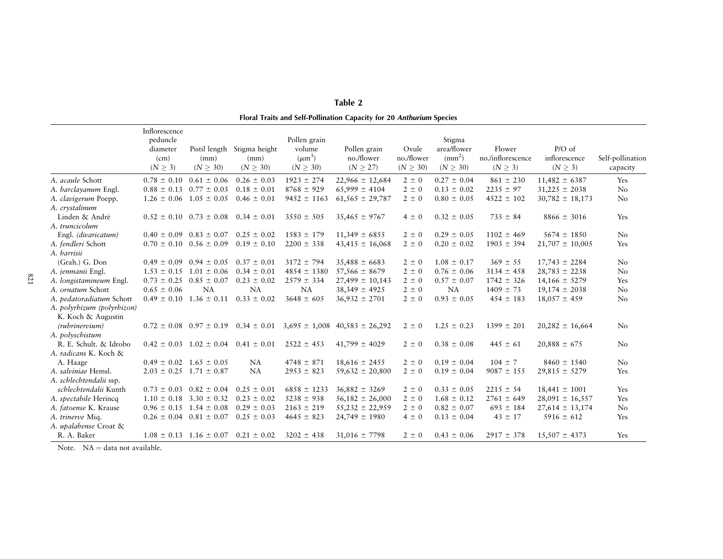|                                                  | Inflorescence<br>peduncle<br>diameter<br>(cm)<br>$(N \geq 3)$ | Pistil length<br>(mm)<br>(N > 30) | Stigma height<br>(mm)<br>$(N \geq 30)$ | Pollen grain<br>volume<br>$(\mu m^3)$<br>$(N \geq 30)$ | Pollen grain<br>no./flower<br>$(N \ge 27)$ | Ovule<br>no./flower<br>(N > 30) | Stigma<br>area/flower<br>$\rm (mm^2)$<br>$(N \geq 30)$ | Flower<br>no./inflorescence<br>$(N \geq 3)$ | $P/O$ of<br>inflorescence<br>$(N \geq 3)$ | Self-pollination<br>capacity |
|--------------------------------------------------|---------------------------------------------------------------|-----------------------------------|----------------------------------------|--------------------------------------------------------|--------------------------------------------|---------------------------------|--------------------------------------------------------|---------------------------------------------|-------------------------------------------|------------------------------|
| A. acaule Schott                                 | $0.78 \pm 0.10$                                               | $0.61 \pm 0.06$                   | $0.26 \pm 0.03$                        | $1923 \pm 274$                                         | $22,966 \pm 12,684$                        | $2 \pm 0$                       | $0.27 \pm 0.04$                                        | $861 \pm 230$                               | $11,482 \pm 6387$                         | Yes                          |
| A. barclayanum Engl.                             |                                                               | $0.88 \pm 0.13$ $0.77 \pm 0.03$   | $0.18 \pm 0.01$                        | $8768 \pm 929$                                         | $65,999 \pm 4104$                          | $2 \pm 0$                       | $0.13 \pm 0.02$                                        | $2235 \pm 97$                               | $31,225 \pm 2038$                         | No                           |
| A. clavigerum Poepp.                             |                                                               | $1.26 \pm 0.06$ $1.05 \pm 0.05$   | $0.46 \pm 0.01$                        | $9452 \pm 1163$                                        | $61,565 \pm 29,787$                        | $2 \pm 0$                       | $0.80 \pm 0.05$                                        | $4522 \pm 102$                              | $30,782 \pm 18,173$                       | No                           |
| A. crystalinum                                   |                                                               |                                   |                                        |                                                        |                                            |                                 |                                                        |                                             |                                           |                              |
| Linden & André                                   |                                                               | $0.52 \pm 0.10$ $0.73 \pm 0.08$   | $0.34 \pm 0.01$                        | $3550 \pm 505$                                         | $35,465 \pm 9767$                          | $4 \pm 0$                       | $0.32 \pm 0.05$                                        | $733 \pm 84$                                | $8866 \pm 3016$                           | Yes                          |
| A. truncicolum                                   |                                                               |                                   |                                        |                                                        |                                            |                                 |                                                        |                                             |                                           |                              |
| Engl. (divaricatum)                              |                                                               | $0.40 \pm 0.09$ $0.83 \pm 0.07$   | $0.25 \pm 0.02$                        | $1583 \pm 179$                                         | $11,349 \pm 6855$                          | $2 \pm 0$                       | $0.29 \pm 0.05$                                        | $1102 \pm 469$                              | $5674 \pm 1850$                           | No                           |
| A. fendleri Schott                               |                                                               | $0.70 \pm 0.10$ $0.56 \pm 0.09$   | $0.19 \pm 0.10$                        | $2200 \pm 338$                                         | $43,415 \pm 16,068$                        | $2 \pm 0$                       | $0.20 \pm 0.02$                                        | $1903 \pm 394$                              | $21,707 \pm 10,005$                       | Yes                          |
| A. harrisii                                      |                                                               |                                   |                                        |                                                        |                                            |                                 |                                                        |                                             |                                           |                              |
| (Grah.) G. Don                                   |                                                               | $0.49 \pm 0.09$ $0.94 \pm 0.05$   | $0.37 \pm 0.01$                        | $3172 \pm 794$                                         | $35,488 \pm 6683$                          | $2 \pm 0$                       | $1.08 \pm 0.17$                                        | $369 \pm 55$                                | $17,743 \pm 2284$                         | No                           |
| A. jenmanii Engl.                                |                                                               | $1.53 \pm 0.15$ $1.01 \pm 0.06$   | $0.34 \pm 0.01$                        | $4854 \pm 1380$                                        | $57,566 \pm 8679$                          | $2 \pm 0$                       | $0.76 \pm 0.06$                                        | $3134 \pm 458$                              | $28,783 \pm 2238$                         | No                           |
| A. longistamineum Engl.                          |                                                               | $0.73 \pm 0.25$ $0.85 \pm 0.07$   | $0.23 \pm 0.02$                        | $2579 \pm 334$                                         | $27,499 \pm 10,143$                        | $2 \pm 0$                       | $0.57 \pm 0.07$                                        | $1742 \pm 326$                              | $14,166 \pm 5279$                         | Yes                          |
| A. ornatum Schott                                | $0.65 \pm 0.06$                                               | NA                                | <b>NA</b>                              | <b>NA</b>                                              | $38,349 \pm 4925$                          | $2 \pm 0$                       | <b>NA</b>                                              | $1409 \pm 73$                               | $19,174 \pm 2038$                         | N <sub>o</sub>               |
| A. pedatoradiatum Schott                         |                                                               | $0.49 \pm 0.10$ $1.36 \pm 0.11$   | $0.33 \pm 0.02$                        | $3648 \pm 605$                                         | $36,932 \pm 2701$                          | $2 \pm 0$                       | $0.93 \pm 0.05$                                        | $454 \pm 183$                               | $18,057 \pm 459$                          | No                           |
| A. polyrhizum (polyrhizon)<br>K. Koch & Augustin |                                                               |                                   |                                        |                                                        |                                            |                                 |                                                        |                                             |                                           |                              |
| (rubrinervium)                                   |                                                               | $0.72 \pm 0.08$ $0.97 \pm 0.19$   | $0.34 \pm 0.01$                        |                                                        | $3,695 \pm 1,008$ 40,583 $\pm$ 26,292      | $2 \pm 0$                       | $1.25 \pm 0.23$                                        | $1399 \pm 201$                              | $20,282 \pm 16,664$                       | No                           |
| A. polyschistum                                  |                                                               |                                   |                                        |                                                        |                                            |                                 |                                                        |                                             |                                           |                              |
| R. E. Schult. & Idrobo                           |                                                               | $0.42 \pm 0.03$ $1.02 \pm 0.04$   | $0.41 \pm 0.01$                        | $2522 \pm 453$                                         | $41,799 \pm 4029$                          | $2 \pm 0$                       | $0.38 \pm 0.08$                                        | $445 \pm 61$                                | $20,888 \pm 675$                          | N <sub>o</sub>               |
| A. radicans K. Koch &                            |                                                               |                                   |                                        |                                                        |                                            |                                 |                                                        |                                             |                                           |                              |
| A. Haage                                         |                                                               | $0.49 \pm 0.02$ $1.65 \pm 0.05$   | NA.                                    | $4748 \pm 871$                                         | $18,616 \pm 2455$                          | $2 \pm 0$                       | $0.19 \pm 0.04$                                        | $104 \pm 7$                                 | $8460 \pm 1540$                           | N <sub>0</sub>               |
| A. salviniae Hemsl.                              |                                                               | $2.03 \pm 0.25$ 1.71 $\pm$ 0.87   | NA                                     | $2953 \pm 823$                                         | $59,632 \pm 20,800$                        | $2 \pm 0$                       | $0.19 \pm 0.04$                                        | $9087 \pm 155$                              | $29,815 \pm 5279$                         | Yes                          |
| A. schlechtendalii ssp.                          |                                                               |                                   |                                        |                                                        |                                            |                                 |                                                        |                                             |                                           |                              |
| schlechtendalii Kunth                            |                                                               | $0.73 \pm 0.03$ $0.82 \pm 0.04$   | $0.25 \pm 0.01$                        | $6858 \pm 1233$                                        | $36,882 \pm 3269$                          | $2 \pm 0$                       | $0.33 \pm 0.05$                                        | $2215 \pm 54$                               | $18,441 \pm 1001$                         | Yes                          |
| A. spectabile Herincq                            |                                                               | $1.10 \pm 0.18$ 3.30 $\pm$ 0.32   | $0.23 \pm 0.02$                        | $5238 \pm 938$                                         | $56,182 \pm 26,000$                        | $2 \pm 0$                       | $1.68 \pm 0.12$                                        | $2761 \pm 649$                              | $28,091 \pm 16,557$                       | Yes                          |
| A. fatoense K. Krause                            |                                                               | $0.96 \pm 0.15$ 1.54 $\pm$ 0.08   | $0.29 \pm 0.03$                        | $2163 \pm 219$                                         | $55,232 \pm 22,959$                        | $2 \pm 0$                       | $0.82 \pm 0.07$                                        | $693 \pm 184$                               | $27,614 \pm 13,174$                       | No                           |
| A. trinerve Miq.                                 |                                                               | $0.26 \pm 0.04$ $0.81 \pm 0.07$   | $0.25 \pm 0.03$                        | $4645 \pm 823$                                         | $24,749 \pm 1980$                          | $4 \pm 0$                       | $0.13 \pm 0.04$                                        | $43 \pm 17$                                 | $5916 \pm 612$                            | Yes                          |
| A. upalahense Croat &                            |                                                               |                                   |                                        |                                                        |                                            |                                 |                                                        |                                             |                                           |                              |
| R. A. Baker                                      |                                                               | $1.08 \pm 0.13$ $1.16 \pm 0.07$   | $0.21 \pm 0.02$                        | $3202 \pm 438$                                         | $31,016 \pm 7798$                          | $2 \pm 0$                       | $0.43 \pm 0.06$                                        | $2917 \pm 378$                              | $15,507 \pm 4373$                         | Yes                          |

Table 2 Floral Traits and Self-Pollination Capacity for <sup>20</sup> Anthurium Species

Note. NA = data not available.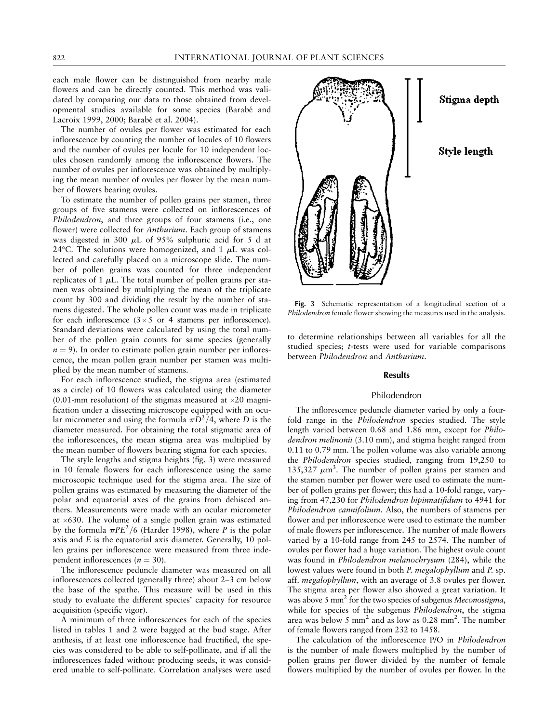each male flower can be distinguished from nearby male flowers and can be directly counted. This method was validated by comparing our data to those obtained from developmental studies available for some species (Barabe´ and Lacroix 1999, 2000; Barabé et al. 2004).

The number of ovules per flower was estimated for each inflorescence by counting the number of locules of 10 flowers and the number of ovules per locule for 10 independent locules chosen randomly among the inflorescence flowers. The number of ovules per inflorescence was obtained by multiplying the mean number of ovules per flower by the mean number of flowers bearing ovules.

To estimate the number of pollen grains per stamen, three groups of five stamens were collected on inflorescences of Philodendron, and three groups of four stamens (i.e., one flower) were collected for Anthurium. Each group of stamens was digested in 300  $\mu$ L of 95% sulphuric acid for 5 d at 24 °C. The solutions were homogenized, and 1  $\mu$ L was collected and carefully placed on a microscope slide. The number of pollen grains was counted for three independent replicates of 1  $\mu$ L. The total number of pollen grains per stamen was obtained by multiplying the mean of the triplicate count by 300 and dividing the result by the number of stamens digested. The whole pollen count was made in triplicate for each inflorescence  $(3 \times 5)$  or 4 stamens per inflorescence). Standard deviations were calculated by using the total number of the pollen grain counts for same species (generally  $n = 9$ ). In order to estimate pollen grain number per inflorescence, the mean pollen grain number per stamen was multiplied by the mean number of stamens.

For each inflorescence studied, the stigma area (estimated as a circle) of 10 flowers was calculated using the diameter  $(0.01$ -mm resolution) of the stigmas measured at  $\times 20$  magnification under a dissecting microscope equipped with an ocular micrometer and using the formula  $\pi D^2/4$ , where D is the diameter measured. For obtaining the total stigmatic area of the inflorescences, the mean stigma area was multiplied by the mean number of flowers bearing stigma for each species.

The style lengths and stigma heights (fig. 3) were measured in 10 female flowers for each inflorescence using the same microscopic technique used for the stigma area. The size of pollen grains was estimated by measuring the diameter of the polar and equatorial axes of the grains from dehisced anthers. Measurements were made with an ocular micrometer at  $\times 630$ . The volume of a single pollen grain was estimated by the formula  $\pi PE^2/6$  (Harder 1998), where P is the polar axis and E is the equatorial axis diameter. Generally, 10 pollen grains per inflorescence were measured from three independent inflorescences ( $n = 30$ ).

The inflorescence peduncle diameter was measured on all inflorescences collected (generally three) about 2–3 cm below the base of the spathe. This measure will be used in this study to evaluate the different species' capacity for resource acquisition (specific vigor).

A minimum of three inflorescences for each of the species listed in tables 1 and 2 were bagged at the bud stage. After anthesis, if at least one inflorescence had fructified, the species was considered to be able to self-pollinate, and if all the inflorescences faded without producing seeds, it was considered unable to self-pollinate. Correlation analyses were used



Fig. 3 Schematic representation of a longitudinal section of a Philodendron female flower showing the measures used in the analysis.

to determine relationships between all variables for all the studied species; t-tests were used for variable comparisons between Philodendron and Anthurium.

### Results

### Philodendron

The inflorescence peduncle diameter varied by only a fourfold range in the Philodendron species studied. The style length varied between 0.68 and 1.86 mm, except for Philodendron melinonii (3.10 mm), and stigma height ranged from 0.11 to 0.79 mm. The pollen volume was also variable among the Philodendron species studied, ranging from 19,250 to 135,327  $\mu$ m<sup>3</sup>. The number of pollen grains per stamen and the stamen number per flower were used to estimate the number of pollen grains per flower; this had a 10-fold range, varying from 47,230 for Philodendron bipinnatifidum to 4941 for Philodendron cannifolium. Also, the numbers of stamens per flower and per inflorescence were used to estimate the number of male flowers per inflorescence. The number of male flowers varied by a 10-fold range from 245 to 2574. The number of ovules per flower had a huge variation. The highest ovule count was found in Philodendron melanochrysum (284), while the lowest values were found in both *P. megalophyllum* and *P.* sp. aff. megalophyllum, with an average of 3.8 ovules per flower. The stigma area per flower also showed a great variation. It was above 5  $\text{mm}^2$  for the two species of subgenus *Meconostigma*, while for species of the subgenus *Philodendron*, the stigma area was below 5 mm<sup>2</sup> and as low as 0.28 mm<sup>2</sup>. The number of female flowers ranged from 232 to 1458.

The calculation of the inflorescence P/O in Philodendron is the number of male flowers multiplied by the number of pollen grains per flower divided by the number of female flowers multiplied by the number of ovules per flower. In the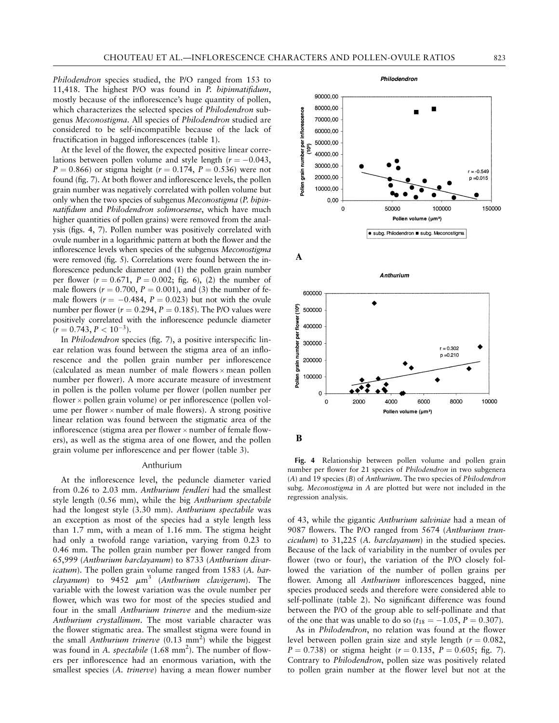Philodendron species studied, the P/O ranged from 153 to 11,418. The highest P/O was found in P. bipinnatifidum, mostly because of the inflorescence's huge quantity of pollen, which characterizes the selected species of Philodendron subgenus Meconostigma. All species of Philodendron studied are considered to be self-incompatible because of the lack of fructification in bagged inflorescences (table 1).

At the level of the flower, the expected positive linear correlations between pollen volume and style length ( $r = -0.043$ ,  $P = 0.866$ ) or stigma height ( $r = 0.174$ ,  $P = 0.536$ ) were not found (fig. 7). At both flower and inflorescence levels, the pollen grain number was negatively correlated with pollen volume but only when the two species of subgenus Meconostigma (P. bipinnatifidum and Philodendron solimoesense, which have much higher quantities of pollen grains) were removed from the analysis (figs. 4, 7). Pollen number was positively correlated with ovule number in a logarithmic pattern at both the flower and the inflorescence levels when species of the subgenus Meconostigma were removed (fig. 5). Correlations were found between the inflorescence peduncle diameter and (1) the pollen grain number per flower  $(r = 0.671, P = 0.002;$  fig. 6), (2) the number of male flowers ( $r = 0.700$ ,  $P = 0.001$ ), and (3) the number of female flowers ( $r = -0.484$ ,  $P = 0.023$ ) but not with the ovule number per flower ( $r = 0.294$ ,  $P = 0.185$ ). The P/O values were positively correlated with the inflorescence peduncle diameter  $(r = 0.743, P < 10^{-3}).$ 

In Philodendron species (fig. 7), a positive interspecific linear relation was found between the stigma area of an inflorescence and the pollen grain number per inflorescence (calculated as mean number of male flowers  $\times$  mean pollen number per flower). A more accurate measure of investment in pollen is the pollen volume per flower (pollen number per flower  $\times$  pollen grain volume) or per inflorescence (pollen volume per flower  $\times$  number of male flowers). A strong positive linear relation was found between the stigmatic area of the inflorescence (stigma area per flower  $\times$  number of female flowers), as well as the stigma area of one flower, and the pollen grain volume per inflorescence and per flower (table 3).

### Anthurium

At the inflorescence level, the peduncle diameter varied from 0.26 to 2.03 mm. Anthurium fendleri had the smallest style length (0.56 mm), while the big Anthurium spectabile had the longest style (3.30 mm). Anthurium spectabile was an exception as most of the species had a style length less than 1.7 mm, with a mean of 1.16 mm. The stigma height had only a twofold range variation, varying from 0.23 to 0.46 mm. The pollen grain number per flower ranged from 65,999 (Anthurium barclayanum) to 8733 (Anthurium divar*icatum*). The pollen grain volume ranged from 1583 (A. bar*clayanum*) to  $9452 \mu m^3$  (Anthurium *clavigerum*). The variable with the lowest variation was the ovule number per flower, which was two for most of the species studied and four in the small Anthurium trinerve and the medium-size Anthurium crystallinum. The most variable character was the flower stigmatic area. The smallest stigma were found in the small Anthurium trinerve (0.13 mm<sup>2</sup>) while the biggest was found in A. spectabile  $(1.68 \text{ mm}^2)$ . The number of flowers per inflorescence had an enormous variation, with the smallest species (A. *trinerve*) having a mean flower number



Fig. 4 Relationship between pollen volume and pollen grain number per flower for 21 species of Philodendron in two subgenera  $(A)$  and 19 species  $(B)$  of Anthurium. The two species of Philodendron subg. Meconostigma in A are plotted but were not included in the regression analysis.

of 43, while the gigantic Anthurium salviniae had a mean of 9087 flowers. The P/O ranged from 5674 (Anthurium trunciculum) to 31,225 (A. barclayanum) in the studied species. Because of the lack of variability in the number of ovules per flower (two or four), the variation of the P/O closely followed the variation of the number of pollen grains per flower. Among all *Anthurium* inflorescences bagged, nine species produced seeds and therefore were considered able to self-pollinate (table 2). No significant difference was found between the P/O of the group able to self-pollinate and that of the one that was unable to do so  $(t_{18} = -1.05, P = 0.307)$ .

As in Philodendron, no relation was found at the flower level between pollen grain size and style length ( $r = 0.082$ ,  $P = 0.738$ ) or stigma height ( $r = 0.135$ ,  $P = 0.605$ ; fig. 7). Contrary to Philodendron, pollen size was positively related to pollen grain number at the flower level but not at the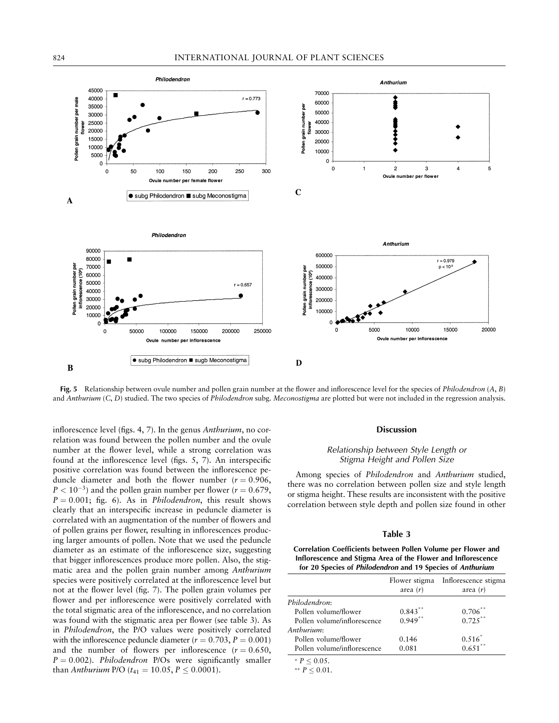

Fig. 5 Relationship between ovule number and pollen grain number at the flower and inflorescence level for the species of *Philodendron*  $(A, B)$ and Anthurium  $(C, D)$  studied. The two species of Philodendron subg. Meconostigma are plotted but were not included in the regression analysis.

inflorescence level (figs. 4, 7). In the genus Anthurium, no correlation was found between the pollen number and the ovule number at the flower level, while a strong correlation was found at the inflorescence level (figs. 5, 7). An interspecific positive correlation was found between the inflorescence peduncle diameter and both the flower number ( $r = 0.906$ ,  $P < 10^{-3}$ ) and the pollen grain number per flower ( $r = 0.679$ ,  $P = 0.001$ ; fig. 6). As in *Philodendron*, this result shows clearly that an interspecific increase in peduncle diameter is correlated with an augmentation of the number of flowers and of pollen grains per flower, resulting in inflorescences producing larger amounts of pollen. Note that we used the peduncle diameter as an estimate of the inflorescence size, suggesting that bigger inflorescences produce more pollen. Also, the stigmatic area and the pollen grain number among Anthurium species were positively correlated at the inflorescence level but not at the flower level (fig. 7). The pollen grain volumes per flower and per inflorescence were positively correlated with the total stigmatic area of the inflorescence, and no correlation was found with the stigmatic area per flower (see table 3). As in Philodendron, the P/O values were positively correlated with the inflorescence peduncle diameter ( $r = 0.703$ ,  $P = 0.001$ ) and the number of flowers per inflorescence  $(r = 0.650,$  $P = 0.002$ ). Philodendron P/Os were significantly smaller than *Anthurium* P/O ( $t_{41} = 10.05, P \le 0.0001$ ).

### **Discussion**

## Relationship between Style Length or Stigma Height and Pollen Size

Among species of Philodendron and Anthurium studied, there was no correlation between pollen size and style length or stigma height. These results are inconsistent with the positive correlation between style depth and pollen size found in other

#### Table 3

| Correlation Coefficients between Pollen Volume per Flower and |
|---------------------------------------------------------------|
| Inflorescence and Stigma Area of the Flower and Inflorescence |
| for 20 Species of Philodendron and 19 Species of Anthurium    |

|                             | area $(r)$ | Flower stigma Inflorescence stigma<br>area $(r)$ |
|-----------------------------|------------|--------------------------------------------------|
| Philodendron:               |            |                                                  |
| Pollen volume/flower        | $0.843***$ | $0.706$ **                                       |
| Pollen volume/inflorescence | $0.949**$  | $0.725$ **                                       |
| Anthurium:                  |            |                                                  |
| Pollen volume/flower        | 0.146      | $0.516^*$                                        |
| Pollen volume/inflorescence | 0.081      | $0.651$ **                                       |
|                             |            |                                                  |

 $* P \leq 0.05$ .

\*\*  $P \leq 0.01$ .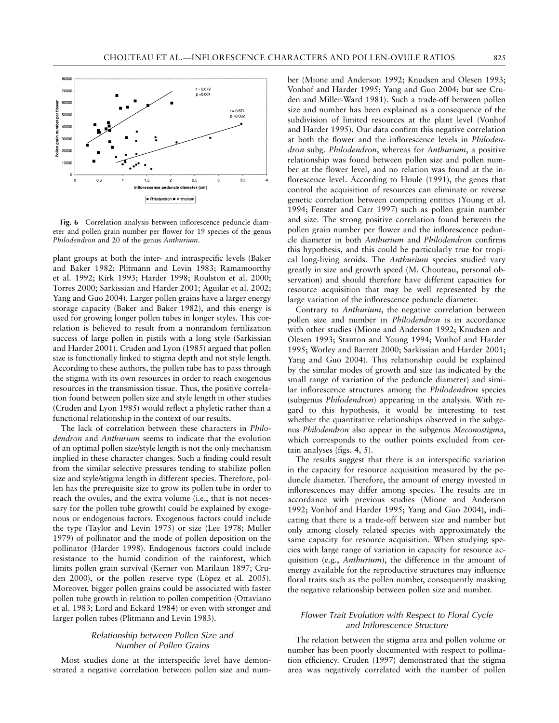

Fig. 6 Correlation analysis between inflorescence peduncle diameter and pollen grain number per flower for 19 species of the genus Philodendron and 20 of the genus Anthurium.

plant groups at both the inter- and intraspecific levels (Baker and Baker 1982; Plitmann and Levin 1983; Ramamoorthy et al. 1992; Kirk 1993; Harder 1998; Roulston et al. 2000; Torres 2000; Sarkissian and Harder 2001; Aguilar et al. 2002; Yang and Guo 2004). Larger pollen grains have a larger energy storage capacity (Baker and Baker 1982), and this energy is used for growing longer pollen tubes in longer styles. This correlation is believed to result from a nonrandom fertilization success of large pollen in pistils with a long style (Sarkissian and Harder 2001). Cruden and Lyon (1985) argued that pollen size is functionally linked to stigma depth and not style length. According to these authors, the pollen tube has to pass through the stigma with its own resources in order to reach exogenous resources in the transmission tissue. Thus, the positive correlation found between pollen size and style length in other studies (Cruden and Lyon 1985) would reflect a phyletic rather than a functional relationship in the context of our results.

The lack of correlation between these characters in Philodendron and Anthurium seems to indicate that the evolution of an optimal pollen size/style length is not the only mechanism implied in these character changes. Such a finding could result from the similar selective pressures tending to stabilize pollen size and style/stigma length in different species. Therefore, pollen has the prerequisite size to grow its pollen tube in order to reach the ovules, and the extra volume (i.e., that is not necessary for the pollen tube growth) could be explained by exogenous or endogenous factors. Exogenous factors could include the type (Taylor and Levin 1975) or size (Lee 1978; Muller 1979) of pollinator and the mode of pollen deposition on the pollinator (Harder 1998). Endogenous factors could include resistance to the humid condition of the rainforest, which limits pollen grain survival (Kerner von Marilaun 1897; Cruden 2000), or the pollen reserve type (López et al. 2005). Moreover, bigger pollen grains could be associated with faster pollen tube growth in relation to pollen competition (Ottaviano et al. 1983; Lord and Eckard 1984) or even with stronger and larger pollen tubes (Plitmann and Levin 1983).

# Relationship between Pollen Size and Number of Pollen Grains

Most studies done at the interspecific level have demonstrated a negative correlation between pollen size and number (Mione and Anderson 1992; Knudsen and Olesen 1993; Vonhof and Harder 1995; Yang and Guo 2004; but see Cruden and Miller-Ward 1981). Such a trade-off between pollen size and number has been explained as a consequence of the subdivision of limited resources at the plant level (Vonhof and Harder 1995). Our data confirm this negative correlation at both the flower and the inflorescence levels in Philodendron subg. Philodendron, whereas for Anthurium, a positive relationship was found between pollen size and pollen number at the flower level, and no relation was found at the inflorescence level. According to Houle (1991), the genes that control the acquisition of resources can eliminate or reverse genetic correlation between competing entities (Young et al. 1994; Fenster and Carr 1997) such as pollen grain number and size. The strong positive correlation found between the pollen grain number per flower and the inflorescence peduncle diameter in both Anthurium and Philodendron confirms this hypothesis, and this could be particularly true for tropical long-living aroids. The Anthurium species studied vary greatly in size and growth speed (M. Chouteau, personal observation) and should therefore have different capacities for resource acquisition that may be well represented by the large variation of the inflorescence peduncle diameter.

Contrary to *Anthurium*, the negative correlation between pollen size and number in Philodendron is in accordance with other studies (Mione and Anderson 1992; Knudsen and Olesen 1993; Stanton and Young 1994; Vonhof and Harder 1995; Worley and Barrett 2000; Sarkissian and Harder 2001; Yang and Guo 2004). This relationship could be explained by the similar modes of growth and size (as indicated by the small range of variation of the peduncle diameter) and similar inflorescence structures among the Philodendron species (subgenus Philodendron) appearing in the analysis. With regard to this hypothesis, it would be interesting to test whether the quantitative relationships observed in the subgenus Philodendron also appear in the subgenus Meconostigma, which corresponds to the outlier points excluded from certain analyses (figs. 4, 5).

The results suggest that there is an interspecific variation in the capacity for resource acquisition measured by the peduncle diameter. Therefore, the amount of energy invested in inflorescences may differ among species. The results are in accordance with previous studies (Mione and Anderson 1992; Vonhof and Harder 1995; Yang and Guo 2004), indicating that there is a trade-off between size and number but only among closely related species with approximately the same capacity for resource acquisition. When studying species with large range of variation in capacity for resource acquisition (e.g., Anthurium), the difference in the amount of energy available for the reproductive structures may influence floral traits such as the pollen number, consequently masking the negative relationship between pollen size and number.

## Flower Trait Evolution with Respect to Floral Cycle and Inflorescence Structure

The relation between the stigma area and pollen volume or number has been poorly documented with respect to pollination efficiency. Cruden (1997) demonstrated that the stigma area was negatively correlated with the number of pollen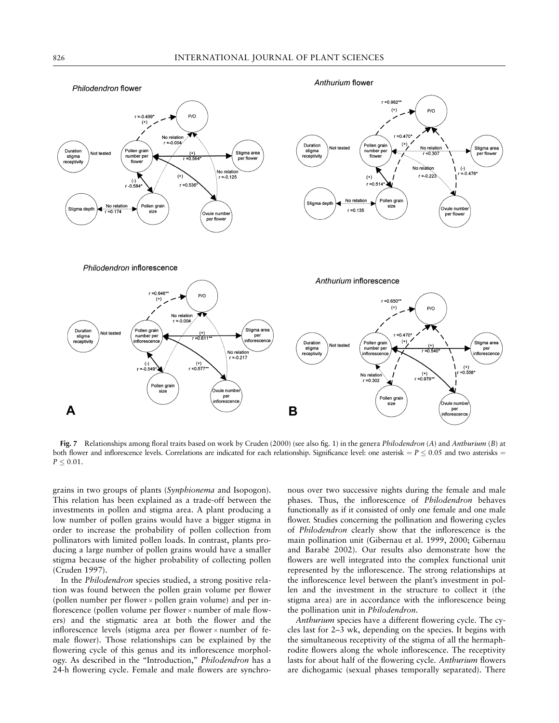

Fig. 7 Relationships among floral traits based on work by Cruden (2000) (see also fig. 1) in the genera *Philodendron* (A) and *Anthurium* (B) at both flower and inflorescence levels. Correlations are indicated for each relationship. Significance level: one asterisk =  $P \le 0.05$  and two asterisks =  $P \leq 0.01$ .

grains in two groups of plants (Synphionema and Isopogon). This relation has been explained as a trade-off between the investments in pollen and stigma area. A plant producing a low number of pollen grains would have a bigger stigma in order to increase the probability of pollen collection from pollinators with limited pollen loads. In contrast, plants producing a large number of pollen grains would have a smaller stigma because of the higher probability of collecting pollen (Cruden 1997).

In the Philodendron species studied, a strong positive relation was found between the pollen grain volume per flower (pollen number per flower  $\times$  pollen grain volume) and per inflorescence (pollen volume per flower  $\times$  number of male flowers) and the stigmatic area at both the flower and the inflorescence levels (stigma area per flower  $\times$  number of female flower). Those relationships can be explained by the flowering cycle of this genus and its inflorescence morphology. As described in the ''Introduction,'' Philodendron has a 24-h flowering cycle. Female and male flowers are synchronous over two successive nights during the female and male phases. Thus, the inflorescence of Philodendron behaves functionally as if it consisted of only one female and one male flower. Studies concerning the pollination and flowering cycles of Philodendron clearly show that the inflorescence is the main pollination unit (Gibernau et al. 1999, 2000; Gibernau and Barabé 2002). Our results also demonstrate how the flowers are well integrated into the complex functional unit represented by the inflorescence. The strong relationships at the inflorescence level between the plant's investment in pollen and the investment in the structure to collect it (the stigma area) are in accordance with the inflorescence being the pollination unit in Philodendron.

Anthurium species have a different flowering cycle. The cycles last for 2–3 wk, depending on the species. It begins with the simultaneous receptivity of the stigma of all the hermaphrodite flowers along the whole inflorescence. The receptivity lasts for about half of the flowering cycle. Anthurium flowers are dichogamic (sexual phases temporally separated). There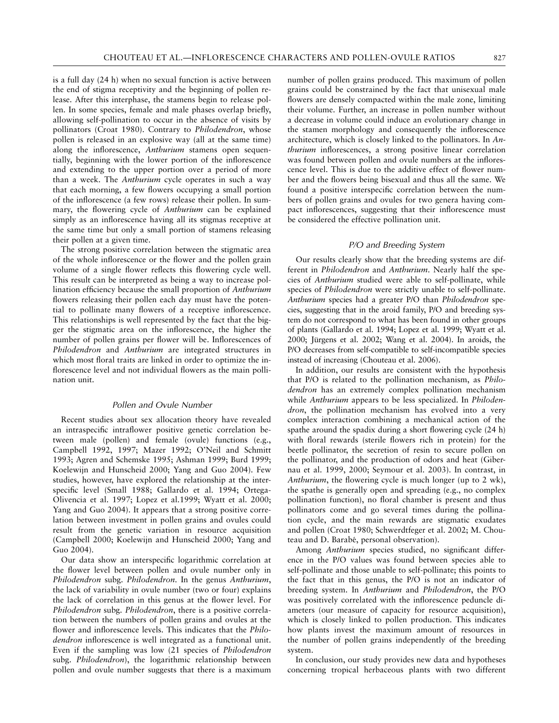is a full day (24 h) when no sexual function is active between the end of stigma receptivity and the beginning of pollen release. After this interphase, the stamens begin to release pollen. In some species, female and male phases overlap briefly, allowing self-pollination to occur in the absence of visits by pollinators (Croat 1980). Contrary to Philodendron, whose pollen is released in an explosive way (all at the same time) along the inflorescence, Anthurium stamens open sequentially, beginning with the lower portion of the inflorescence and extending to the upper portion over a period of more than a week. The Anthurium cycle operates in such a way that each morning, a few flowers occupying a small portion of the inflorescence (a few rows) release their pollen. In summary, the flowering cycle of Anthurium can be explained simply as an inflorescence having all its stigmas receptive at the same time but only a small portion of stamens releasing their pollen at a given time.

The strong positive correlation between the stigmatic area of the whole inflorescence or the flower and the pollen grain volume of a single flower reflects this flowering cycle well. This result can be interpreted as being a way to increase pollination efficiency because the small proportion of Anthurium flowers releasing their pollen each day must have the potential to pollinate many flowers of a receptive inflorescence. This relationships is well represented by the fact that the bigger the stigmatic area on the inflorescence, the higher the number of pollen grains per flower will be. Inflorescences of Philodendron and Anthurium are integrated structures in which most floral traits are linked in order to optimize the inflorescence level and not individual flowers as the main pollination unit.

### Pollen and Ovule Number

Recent studies about sex allocation theory have revealed an intraspecific intraflower positive genetic correlation between male (pollen) and female (ovule) functions (e.g., Campbell 1992, 1997; Mazer 1992; O'Neil and Schmitt 1993; Agren and Schemske 1995; Ashman 1999; Burd 1999; Koelewijn and Hunscheid 2000; Yang and Guo 2004). Few studies, however, have explored the relationship at the interspecific level (Small 1988; Gallardo et al. 1994; Ortega-Olivencia et al. 1997; Lopez et al.1999; Wyatt et al. 2000; Yang and Guo 2004). It appears that a strong positive correlation between investment in pollen grains and ovules could result from the genetic variation in resource acquisition (Campbell 2000; Koelewijn and Hunscheid 2000; Yang and Guo 2004).

Our data show an interspecific logarithmic correlation at the flower level between pollen and ovule number only in Philodendron subg. Philodendron. In the genus Anthurium, the lack of variability in ovule number (two or four) explains the lack of correlation in this genus at the flower level. For Philodendron subg. Philodendron, there is a positive correlation between the numbers of pollen grains and ovules at the flower and inflorescence levels. This indicates that the Philodendron inflorescence is well integrated as a functional unit. Even if the sampling was low (21 species of Philodendron subg. *Philodendron*), the logarithmic relationship between pollen and ovule number suggests that there is a maximum number of pollen grains produced. This maximum of pollen grains could be constrained by the fact that unisexual male flowers are densely compacted within the male zone, limiting their volume. Further, an increase in pollen number without a decrease in volume could induce an evolutionary change in the stamen morphology and consequently the inflorescence architecture, which is closely linked to the pollinators. In Anthurium inflorescences, a strong positive linear correlation was found between pollen and ovule numbers at the inflorescence level. This is due to the additive effect of flower number and the flowers being bisexual and thus all the same. We found a positive interspecific correlation between the numbers of pollen grains and ovules for two genera having compact inflorescences, suggesting that their inflorescence must be considered the effective pollination unit.

### P/O and Breeding System

Our results clearly show that the breeding systems are different in Philodendron and Anthurium. Nearly half the species of Anthurium studied were able to self-pollinate, while species of Philodendron were strictly unable to self-pollinate. Anthurium species had a greater P/O than Philodendron species, suggesting that in the aroid family, P/O and breeding system do not correspond to what has been found in other groups of plants (Gallardo et al. 1994; Lopez et al. 1999; Wyatt et al.  $2000$ ; Jürgens et al.  $2002$ ; Wang et al.  $2004$ ). In aroids, the P/O decreases from self-compatible to self-incompatible species instead of increasing (Chouteau et al. 2006).

In addition, our results are consistent with the hypothesis that P/O is related to the pollination mechanism, as Philodendron has an extremely complex pollination mechanism while *Anthurium* appears to be less specialized. In *Philoden*dron, the pollination mechanism has evolved into a very complex interaction combining a mechanical action of the spathe around the spadix during a short flowering cycle (24 h) with floral rewards (sterile flowers rich in protein) for the beetle pollinator, the secretion of resin to secure pollen on the pollinator, and the production of odors and heat (Gibernau et al. 1999, 2000; Seymour et al. 2003). In contrast, in Anthurium, the flowering cycle is much longer (up to 2 wk), the spathe is generally open and spreading (e.g., no complex pollination function), no floral chamber is present and thus pollinators come and go several times during the pollination cycle, and the main rewards are stigmatic exudates and pollen (Croat 1980; Schwerdtfeger et al. 2002; M. Chouteau and D. Barabé, personal observation).

Among Anthurium species studied, no significant difference in the P/O values was found between species able to self-pollinate and those unable to self-pollinate; this points to the fact that in this genus, the P/O is not an indicator of breeding system. In Anthurium and Philodendron, the P/O was positively correlated with the inflorescence peduncle diameters (our measure of capacity for resource acquisition), which is closely linked to pollen production. This indicates how plants invest the maximum amount of resources in the number of pollen grains independently of the breeding system.

In conclusion, our study provides new data and hypotheses concerning tropical herbaceous plants with two different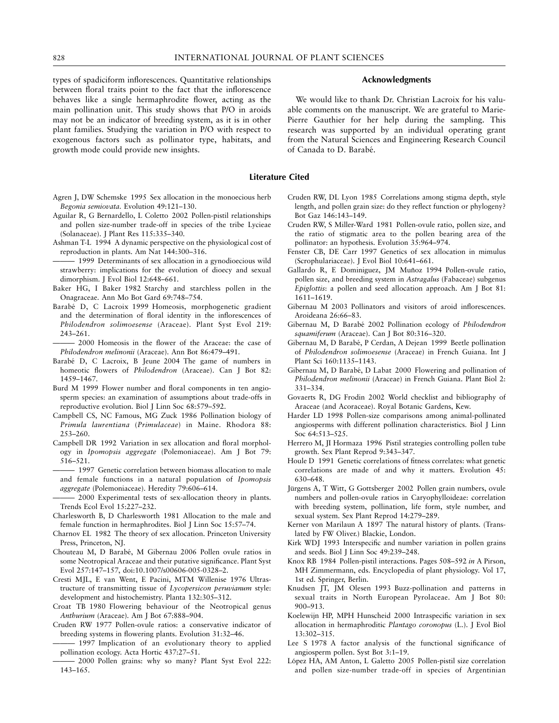types of spadiciform inflorescences. Quantitative relationships between floral traits point to the fact that the inflorescence behaves like a single hermaphrodite flower, acting as the main pollination unit. This study shows that P/O in aroids may not be an indicator of breeding system, as it is in other plant families. Studying the variation in P/O with respect to exogenous factors such as pollinator type, habitats, and growth mode could provide new insights.

### Acknowledgments

We would like to thank Dr. Christian Lacroix for his valuable comments on the manuscript. We are grateful to Marie-Pierre Gauthier for her help during the sampling. This research was supported by an individual operating grant from the Natural Sciences and Engineering Research Council of Canada to D. Barabé.

### Literature Cited

- Agren J, DW Schemske 1995 Sex allocation in the monoecious herb Begonia semiovata. Evolution 49:121–130.
- Aguilar R, G Bernardello, L Coletto 2002 Pollen-pistil relationships and pollen size-number trade-off in species of the tribe Lycieae (Solanaceae). J Plant Res 115:335–340.
- Ashman T-L 1994 A dynamic perspective on the physiological cost of reproduction in plants. Am Nat 144:300–316.
- 1999 Determinants of sex allocation in a gynodioecious wild strawberry: implications for the evolution of dioecy and sexual dimorphism. J Evol Biol 12:648–661.
- Baker HG, I Baker 1982 Starchy and starchless pollen in the Onagraceae. Ann Mo Bot Gard 69:748–754.
- Barabé D, C Lacroix 1999 Homeosis, morphogenetic gradient and the determination of floral identity in the inflorescences of Philodendron solimoesense (Araceae). Plant Syst Evol 219: 243–261.
- ——— 2000 Homeosis in the flower of the Araceae: the case of Philodendron melinonii (Araceae). Ann Bot 86:479–491.
- Barabé D, C Lacroix, B Jeune 2004 The game of numbers in homeotic flowers of Philodendron (Araceae). Can J Bot 82: 1459–1467.
- Burd M 1999 Flower number and floral components in ten angiosperm species: an examination of assumptions about trade-offs in reproductive evolution. Biol J Linn Soc 68:579–592.
- Campbell CS, NC Famous, MG Zuck 1986 Pollination biology of Primula laurentiana (Primulaceae) in Maine. Rhodora 88: 253–260.
- Campbell DR 1992 Variation in sex allocation and floral morphology in Ipomopsis aggregate (Polemoniaceae). Am J Bot 79: 516–521.
- 1997 Genetic correlation between biomass allocation to male and female functions in a natural population of Ipomopsis aggregate (Polemoniaceae). Heredity 79:606–614.
- 2000 Experimental tests of sex-allocation theory in plants. Trends Ecol Evol 15:227–232.
- Charlesworth B, D Charlesworth 1981 Allocation to the male and female function in hermaphrodites. Biol J Linn Soc 15:57–74.
- Charnov EL 1982 The theory of sex allocation. Princeton University Press, Princeton, NJ.
- Chouteau M, D Barabé, M Gibernau 2006 Pollen ovule ratios in some Neotropical Araceae and their putative significance. Plant Syst Evol 257:147–157, doi:10.1007/s00606-005-0328–2.
- Cresti MJL, E van Went, E Pacini, MTM Willenise 1976 Ultrastructure of transmitting tissue of Lycopersicon peruvianum style: development and histochemistry. Planta 132:305–312.
- Croat TB 1980 Flowering behaviour of the Neotropical genus Anthurium (Araceae). Am J Bot 67:888–904.
- Cruden RW 1977 Pollen-ovule ratios: a conservative indicator of breeding systems in flowering plants. Evolution 31:32–46.
- 1997 Implication of an evolutionary theory to applied pollination ecology. Acta Hortic 437:27–51.
- 2000 Pollen grains: why so many? Plant Syst Evol 222: 143–165.
- Cruden RW, DL Lyon 1985 Correlations among stigma depth, style length, and pollen grain size: do they reflect function or phylogeny? Bot Gaz 146:143–149.
- Cruden RW, S Miller-Ward 1981 Pollen-ovule ratio, pollen size, and the ratio of stigmatic area to the pollen bearing area of the pollinator: an hypothesis. Evolution 35:964–974.
- Fenster CB, DE Carr 1997 Genetics of sex allocation in mimulus (Scrophulariaceae). J Evol Biol 10:641–661.
- Gallardo R, E Dominiguez, JM Muñoz 1994 Pollen-ovule ratio, pollen size, and breeding system in Astragalus (Fabaceae) subgenus Epiglottis: a pollen and seed allocation approach. Am J Bot 81: 1611–1619.
- Gibernau M 2003 Pollinators and visitors of aroid inflorescences. Aroideana 26:66–83.
- Gibernau M, D Barabé 2002 Pollination ecology of Philodendron squamiferum (Araceae). Can J Bot 80:316–320.
- Gibernau M, D Barabé, P Cerdan, A Dejean 1999 Beetle pollination of Philodendron solimoesense (Araceae) in French Guiana. Int J Plant Sci 160:1135–1143.
- Gibernau M, D Barabé, D Labat 2000 Flowering and pollination of Philodendron melinonii (Araceae) in French Guiana. Plant Biol 2: 331–334.
- Govaerts R, DG Frodin 2002 World checklist and bibliography of Araceae (and Acoraceae). Royal Botanic Gardens, Kew.
- Harder LD 1998 Pollen-size comparisons among animal-pollinated angiosperms with different pollination characteristics. Biol J Linn Soc 64:513–525.
- Herrero M, JI Hormaza 1996 Pistil strategies controlling pollen tube growth. Sex Plant Reprod 9:343–347.
- Houle D 1991 Genetic correlations of fitness correlates: what genetic correlations are made of and why it matters. Evolution 45: 630–648.
- Jürgens A, T Witt, G Gottsberger 2002 Pollen grain numbers, ovule numbers and pollen-ovule ratios in Caryophylloideae: correlation with breeding system, pollination, life form, style number, and sexual system. Sex Plant Reprod 14:279–289.
- Kerner von Marilaun A 1897 The natural history of plants. (Translated by FW Oliver.) Blackie, London.
- Kirk WDJ 1993 Interspecific and number variation in pollen grains and seeds. Biol J Linn Soc 49:239–248.
- Knox RB 1984 Pollen-pistil interactions. Pages 508–592 in A Pirson, MH Zimmermann, eds. Encyclopedia of plant physiology. Vol 17, 1st ed. Springer, Berlin.
- Knudsen JT, JM Olesen 1993 Buzz-pollination and patterns in sexual traits in North European Pyrolaceae. Am J Bot 80: 900–913.
- Koelewijn HP, MPH Hunscheid 2000 Intraspecific variation in sex allocation in hermaphroditic Plantago coronopus (L.). J Evol Biol 13:302–315.
- Lee S 1978 A factor analysis of the functional significance of angiosperm pollen. Syst Bot 3:1–19.
- López HA, AM Anton, L Galetto 2005 Pollen-pistil size correlation and pollen size-number trade-off in species of Argentinian